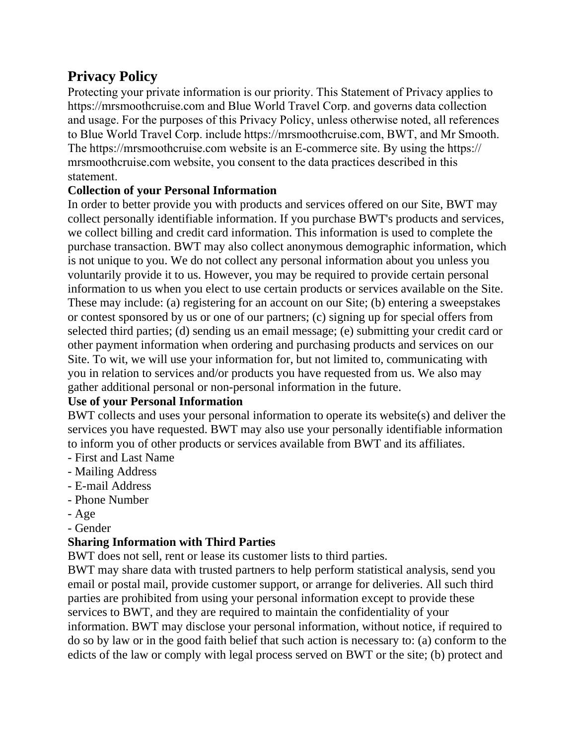# **Privacy Policy**

Protecting your private information is our priority. This Statement of Privacy applies to [https://mrsmoothcruise.](http://festivalatsea.com/)com and Blue World Travel Corp. and governs data collection and usage. For the purposes of this Privacy Policy, unless otherwise noted, all references to Blue World Travel Corp. include https://mrsmoothcruise.com, BWT, and Mr Smooth. The https://mrsmoothcruise.com website is an E-commerce site. By using the https:// mrsmoothcruise.com website, you consent to the data practices described in this statement.

#### **Collection of your Personal Information**

In order to better provide you with products and services offered on our Site, BWT may collect personally identifiable information. If you purchase BWT's products and services, we collect billing and credit card information. This information is used to complete the purchase transaction. BWT may also collect anonymous demographic information, which is not unique to you. We do not collect any personal information about you unless you voluntarily provide it to us. However, you may be required to provide certain personal information to us when you elect to use certain products or services available on the Site. These may include: (a) registering for an account on our Site; (b) entering a sweepstakes or contest sponsored by us or one of our partners; (c) signing up for special offers from selected third parties; (d) sending us an email message; (e) submitting your credit card or other payment information when ordering and purchasing products and services on our Site. To wit, we will use your information for, but not limited to, communicating with you in relation to services and/or products you have requested from us. We also may gather additional personal or non-personal information in the future.

#### **Use of your Personal Information**

BWT collects and uses your personal information to operate its website(s) and deliver the services you have requested. BWT may also use your personally identifiable information to inform you of other products or services available from BWT and its affiliates.

- First and Last Name
- Mailing Address
- E-mail Address
- Phone Number
- Age
- Gender

#### **Sharing Information with Third Parties**

BWT does not sell, rent or lease its customer lists to third parties.

BWT may share data with trusted partners to help perform statistical analysis, send you email or postal mail, provide customer support, or arrange for deliveries. All such third parties are prohibited from using your personal information except to provide these services to BWT, and they are required to maintain the confidentiality of your information. BWT may disclose your personal information, without notice, if required to do so by law or in the good faith belief that such action is necessary to: (a) conform to the edicts of the law or comply with legal process served on BWT or the site; (b) protect and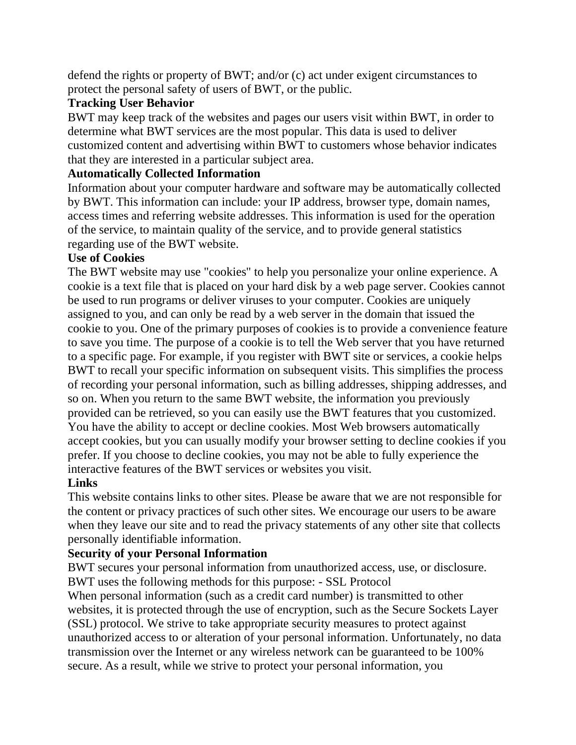defend the rights or property of BWT; and/or (c) act under exigent circumstances to protect the personal safety of users of BWT, or the public.

### **Tracking User Behavior**

BWT may keep track of the websites and pages our users visit within BWT, in order to determine what BWT services are the most popular. This data is used to deliver customized content and advertising within BWT to customers whose behavior indicates that they are interested in a particular subject area.

### **Automatically Collected Information**

Information about your computer hardware and software may be automatically collected by BWT. This information can include: your IP address, browser type, domain names, access times and referring website addresses. This information is used for the operation of the service, to maintain quality of the service, and to provide general statistics regarding use of the BWT website.

### **Use of Cookies**

The BWT website may use "cookies" to help you personalize your online experience. A cookie is a text file that is placed on your hard disk by a web page server. Cookies cannot be used to run programs or deliver viruses to your computer. Cookies are uniquely assigned to you, and can only be read by a web server in the domain that issued the cookie to you. One of the primary purposes of cookies is to provide a convenience feature to save you time. The purpose of a cookie is to tell the Web server that you have returned to a specific page. For example, if you register with BWT site or services, a cookie helps BWT to recall your specific information on subsequent visits. This simplifies the process of recording your personal information, such as billing addresses, shipping addresses, and so on. When you return to the same BWT website, the information you previously provided can be retrieved, so you can easily use the BWT features that you customized. You have the ability to accept or decline cookies. Most Web browsers automatically accept cookies, but you can usually modify your browser setting to decline cookies if you prefer. If you choose to decline cookies, you may not be able to fully experience the interactive features of the BWT services or websites you visit.

#### **Links**

This website contains links to other sites. Please be aware that we are not responsible for the content or privacy practices of such other sites. We encourage our users to be aware when they leave our site and to read the privacy statements of any other site that collects personally identifiable information.

### **Security of your Personal Information**

BWT secures your personal information from unauthorized access, use, or disclosure. BWT uses the following methods for this purpose: - SSL Protocol

When personal information (such as a credit card number) is transmitted to other websites, it is protected through the use of encryption, such as the Secure Sockets Layer (SSL) protocol. We strive to take appropriate security measures to protect against unauthorized access to or alteration of your personal information. Unfortunately, no data transmission over the Internet or any wireless network can be guaranteed to be 100% secure. As a result, while we strive to protect your personal information, you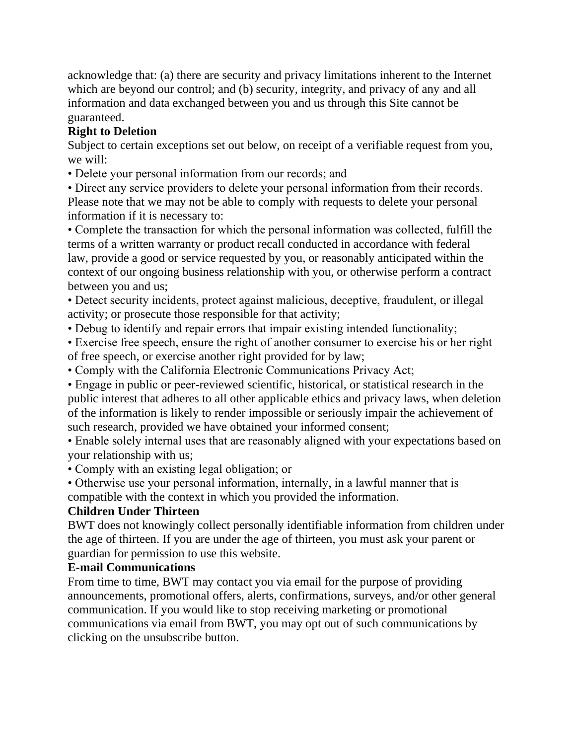acknowledge that: (a) there are security and privacy limitations inherent to the Internet which are beyond our control; and (b) security, integrity, and privacy of any and all information and data exchanged between you and us through this Site cannot be guaranteed.

## **Right to Deletion**

Subject to certain exceptions set out below, on receipt of a verifiable request from you, we will:

• Delete your personal information from our records; and

• Direct any service providers to delete your personal information from their records. Please note that we may not be able to comply with requests to delete your personal information if it is necessary to:

• Complete the transaction for which the personal information was collected, fulfill the terms of a written warranty or product recall conducted in accordance with federal law, provide a good or service requested by you, or reasonably anticipated within the context of our ongoing business relationship with you, or otherwise perform a contract between you and us;

• Detect security incidents, protect against malicious, deceptive, fraudulent, or illegal activity; or prosecute those responsible for that activity;

• Debug to identify and repair errors that impair existing intended functionality;

• Exercise free speech, ensure the right of another consumer to exercise his or her right of free speech, or exercise another right provided for by law;

• Comply with the California Electronic Communications Privacy Act;

• Engage in public or peer-reviewed scientific, historical, or statistical research in the public interest that adheres to all other applicable ethics and privacy laws, when deletion of the information is likely to render impossible or seriously impair the achievement of such research, provided we have obtained your informed consent;

• Enable solely internal uses that are reasonably aligned with your expectations based on your relationship with us;

• Comply with an existing legal obligation; or

• Otherwise use your personal information, internally, in a lawful manner that is compatible with the context in which you provided the information.

# **Children Under Thirteen**

BWT does not knowingly collect personally identifiable information from children under the age of thirteen. If you are under the age of thirteen, you must ask your parent or guardian for permission to use this website.

### **E-mail Communications**

From time to time, BWT may contact you via email for the purpose of providing announcements, promotional offers, alerts, confirmations, surveys, and/or other general communication. If you would like to stop receiving marketing or promotional communications via email from BWT, you may opt out of such communications by clicking on the unsubscribe button.